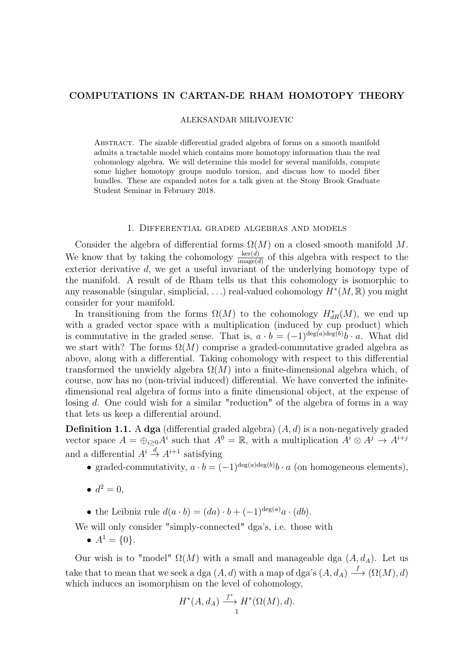# COMPUTATIONS IN CARTAN-DE RHAM HOMOTOPY THEORY

#### ALEKSANDAR MILIVOJEVIC

Abstract. The sizable differential graded algebra of forms on a smooth manifold admits a tractable model which contains more homotopy information than the real cohomology algebra. We will determine this model for several manifolds, compute some higher homotopy groups modulo torsion, and discuss how to model fiber bundles. These are expanded notes for a talk given at the Stony Brook Graduate Student Seminar in February 2018.

#### 1. Differential graded algebras and models

Consider the algebra of differential forms  $\Omega(M)$  on a closed smooth manifold M. We know that by taking the cohomology  $\frac{\ker(d)}{\text{image}(d)}$  of this algebra with respect to the exterior derivative d, we get a useful invariant of the underlying homotopy type of the manifold. A result of de Rham tells us that this cohomology is isomorphic to any reasonable (singular, simplicial, ...) real-valued cohomology  $\widetilde{H}^*(M,\mathbb{R})$  you might consider for your manifold.

In transitioning from the forms  $\Omega(M)$  to the cohomology  $H^*_{dR}(M)$ , we end up with a graded vector space with a multiplication (induced by cup product) which is commutative in the graded sense. That is,  $a \cdot b = (-1)^{\deg(a)\deg(b)}b \cdot a$ . What did we start with? The forms  $\Omega(M)$  comprise a graded-commutative graded algebra as above, along with a differential. Taking cohomology with respect to this differential transformed the unwieldy algebra  $\Omega(M)$  into a finite-dimensional algebra which, of course, now has no (non-trivial induced) differential. We have converted the infinitedimensional real algebra of forms into a finite dimensional object, at the expense of losing d. One could wish for a similar "reduction" of the algebra of forms in a way that lets us keep a differential around.

**Definition 1.1.** A dga (differential graded algebra)  $(A, d)$  is a non-negatively graded vector space  $A = \bigoplus_{i \geq 0} A^i$  such that  $A^0 = \mathbb{R}$ , with a multiplication  $A^i \otimes A^j \to A^{i+j}$ and a differential  $A^i \stackrel{d}{\rightarrow} A^{i+1}$  satisfying

- graded-commutativity,  $a \cdot b = (-1)^{\deg(a)\deg(b)} b \cdot a$  (on homogeneous elements),
- $d^2 = 0$ ,
- the Leibniz rule  $d(a \cdot b) = (da) \cdot b + (-1)^{\deg(a)} a \cdot (db)$ .

We will only consider "simply-connected" dga's, i.e. those with

•  $A^1 = \{0\}.$ 

Our wish is to "model"  $\Omega(M)$  with a small and manageable dga  $(A, d<sub>A</sub>)$ . Let us take that to mean that we seek a dga  $(A, d)$  with a map of dga's  $(A, d_A) \stackrel{f}{\longrightarrow} (\Omega(M), d)$ which induces an isomorphism on the level of cohomology,

$$
H^*(A, d_A) \xrightarrow{f^*} H^*(\Omega(M), d).
$$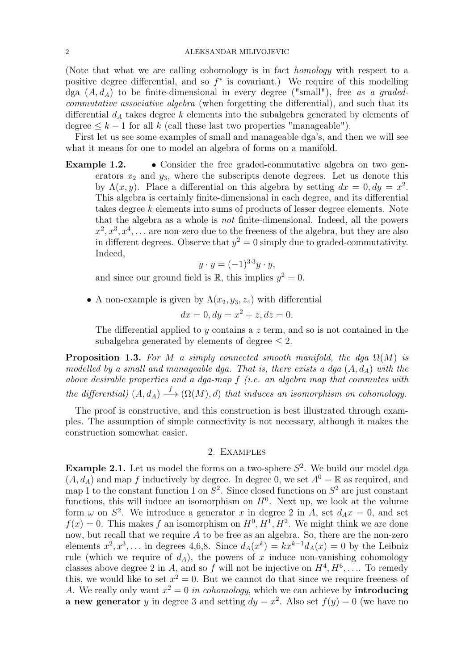(Note that what we are calling cohomology is in fact homology with respect to a positive degree differential, and so  $f^*$  is covariant.) We require of this modelling dga  $(A, d<sub>A</sub>)$  to be finite-dimensional in every degree ("small"), free as a gradedcommutative associative algebra (when forgetting the differential), and such that its differential  $d_A$  takes degree k elements into the subalgebra generated by elements of degree  $\leq k-1$  for all k (call these last two properties "manageable").

First let us see some examples of small and manageable dga's, and then we will see what it means for one to model an algebra of forms on a manifold.

Example 1.2. • Consider the free graded-commutative algebra on two generators  $x_2$  and  $y_3$ , where the subscripts denote degrees. Let us denote this by  $\Lambda(x, y)$ . Place a differential on this algebra by setting  $dx = 0, dy = x^2$ . This algebra is certainly finite-dimensional in each degree, and its differential takes degree k elements into sums of products of lesser degree elements. Note that the algebra as a whole is not finite-dimensional. Indeed, all the powers  $x^2, x^3, x^4, \ldots$  are non-zero due to the freeness of the algebra, but they are also in different degrees. Observe that  $y^2 = 0$  simply due to graded-commutativity. Indeed,

$$
y \cdot y = (-1)^{3 \cdot 3} y \cdot y,
$$

and since our ground field is  $\mathbb{R}$ , this implies  $y^2 = 0$ .

• A non-example is given by  $\Lambda(x_2, y_3, z_4)$  with differential  $dx = 0, dy = x^2 + z, dz = 0.$ 

The differential applied to y contains a z term, and so is not contained in the subalgebra generated by elements of degree  $\leq 2$ .

**Proposition 1.3.** For M a simply connected smooth manifold, the dga  $\Omega(M)$  is modelled by a small and manageable dga. That is, there exists a dga  $(A, d<sub>A</sub>)$  with the above desirable properties and a dga-map f (i.e. an algebra map that commutes with the differential)  $(A, d_A) \stackrel{f}{\longrightarrow} (\Omega(M), d)$  that induces an isomorphism on cohomology.

The proof is constructive, and this construction is best illustrated through examples. The assumption of simple connectivity is not necessary, although it makes the construction somewhat easier.

## 2. Examples

**Example 2.1.** Let us model the forms on a two-sphere  $S^2$ . We build our model dga  $(A, d_A)$  and map f inductively by degree. In degree 0, we set  $A^0 = \mathbb{R}$  as required, and map 1 to the constant function 1 on  $S^2$ . Since closed functions on  $S^2$  are just constant functions, this will induce an isomorphism on  $H^0$ . Next up, we look at the volume form  $\omega$  on  $S^2$ . We introduce a generator x in degree 2 in A, set  $d_A x = 0$ , and set  $f(x) = 0$ . This makes f an isomorphism on  $H^0, H^1, H^2$ . We might think we are done now, but recall that we require  $A$  to be free as an algebra. So, there are the non-zero elements  $x^2, x^3, \ldots$  in degrees 4,6,8. Since  $d_A(x^k) = kx^{k-1}d_A(x) = 0$  by the Leibniz rule (which we require of  $d_A$ ), the powers of x induce non-vanishing cohomology classes above degree 2 in A, and so f will not be injective on  $H^4, H^6, \ldots$  To remedy this, we would like to set  $x^2 = 0$ . But we cannot do that since we require freeness of A. We really only want  $x^2 = 0$  in cohomology, which we can achieve by **introducing a new generator** y in degree 3 and setting  $dy = x^2$ . Also set  $f(y) = 0$  (we have no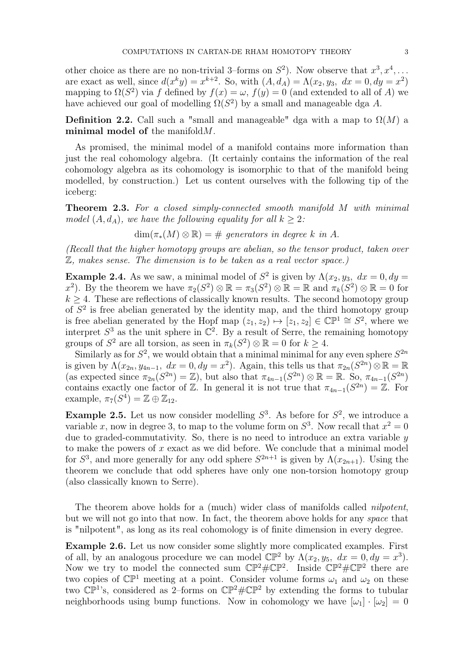other choice as there are no non-trivial 3-forms on  $S^2$ ). Now observe that  $x^3, x^4, \ldots$ are exact as well, since  $d(x^k y) = x^{k+2}$ . So, with  $(A, d_A) = \Lambda(x_2, y_3, dx = 0, dy = x^2)$ mapping to  $\Omega(S^2)$  via f defined by  $f(x) = \omega$ ,  $f(y) = 0$  (and extended to all of A) we have achieved our goal of modelling  $\Omega(S^2)$  by a small and manageable dga A.

**Definition 2.2.** Call such a "small and manageable" dga with a map to  $\Omega(M)$  a minimal model of the manifold  $M$ .

As promised, the minimal model of a manifold contains more information than just the real cohomology algebra. (It certainly contains the information of the real cohomology algebra as its cohomology is isomorphic to that of the manifold being modelled, by construction.) Let us content ourselves with the following tip of the iceberg:

Theorem 2.3. For a closed simply-connected smooth manifold M with minimal model  $(A, d_A)$ , we have the following equality for all  $k \geq 2$ :

 $\dim(\pi_*(M) \otimes \mathbb{R}) = \#$  generators in degree k in A.

(Recall that the higher homotopy groups are abelian, so the tensor product, taken over Z, makes sense. The dimension is to be taken as a real vector space.)

**Example 2.4.** As we saw, a minimal model of  $S^2$  is given by  $\Lambda(x_2, y_3, dx = 0, dy =$ x<sup>2</sup>). By the theorem we have  $\pi_2(S^2) \otimes \mathbb{R} = \pi_3(S^2) \otimes \mathbb{R} = \mathbb{R}$  and  $\pi_k(S^2) \otimes \mathbb{R} = 0$  for  $k > 4$ . These are reflections of classically known results. The second homotopy group of  $S<sup>2</sup>$  is free abelian generated by the identity map, and the third homotopy group is free abelian generated by the Hopf map  $(z_1, z_2) \mapsto [z_1, z_2] \in \mathbb{CP}^1 \cong S^2$ , where we interpret  $S^3$  as the unit sphere in  $\mathbb{C}^2$ . By a result of Serre, the remaining homotopy groups of  $S^2$  are all torsion, as seen in  $\pi_k(S^2) \otimes \mathbb{R} = 0$  for  $k \geq 4$ .

Similarly as for  $S^2$ , we would obtain that a minimal minimal for any even sphere  $S^{2n}$ is given by  $\Lambda(x_{2n}, y_{4n-1}, dx = 0, dy = x^2)$ . Again, this tells us that  $\pi_{2n}(S^{2n})\otimes \mathbb{R} = \mathbb{R}$ (as expected since  $\pi_{2n}(S^{2n}) = \mathbb{Z}$ ), but also that  $\pi_{4n-1}(S^{2n}) \otimes \mathbb{R} = \mathbb{R}$ . So,  $\pi_{4n-1}(S^{2n})$ contains exactly one factor of  $\mathbb{Z}$ . In general it is not true that  $\pi_{4n-1}(S^{2n}) = \mathbb{Z}$ . For example,  $\pi_7(S^4) = \mathbb{Z} \oplus \mathbb{Z}_{12}$ .

**Example 2.5.** Let us now consider modelling  $S^3$ . As before for  $S^2$ , we introduce a variable x, now in degree 3, to map to the volume form on  $S^3$ . Now recall that  $x^2 = 0$ due to graded-commutativity. So, there is no need to introduce an extra variable  $y$ to make the powers of  $x$  exact as we did before. We conclude that a minimal model for  $S^3$ , and more generally for any odd sphere  $S^{2n+1}$  is given by  $\Lambda(x_{2n+1})$ . Using the theorem we conclude that odd spheres have only one non-torsion homotopy group (also classically known to Serre).

The theorem above holds for a (much) wider class of manifolds called nilpotent, but we will not go into that now. In fact, the theorem above holds for any space that is "nilpotent", as long as its real cohomology is of finite dimension in every degree.

Example 2.6. Let us now consider some slightly more complicated examples. First of all, by an analogous procedure we can model  $\mathbb{CP}^2$  by  $\Lambda(x_2, y_5, dx = 0, dy = x^3)$ . Now we try to model the connected sum  $\mathbb{CP}^2 \# \mathbb{CP}^2$ . Inside  $\mathbb{CP}^2 \# \mathbb{CP}^2$  there are two copies of  $\mathbb{CP}^1$  meeting at a point. Consider volume forms  $\omega_1$  and  $\omega_2$  on these two  $\mathbb{CP}^1$ 's, considered as 2-forms on  $\mathbb{CP}^2 \# \mathbb{CP}^2$  by extending the forms to tubular neighborhoods using bump functions. Now in cohomology we have  $[\omega_1] \cdot [\omega_2] = 0$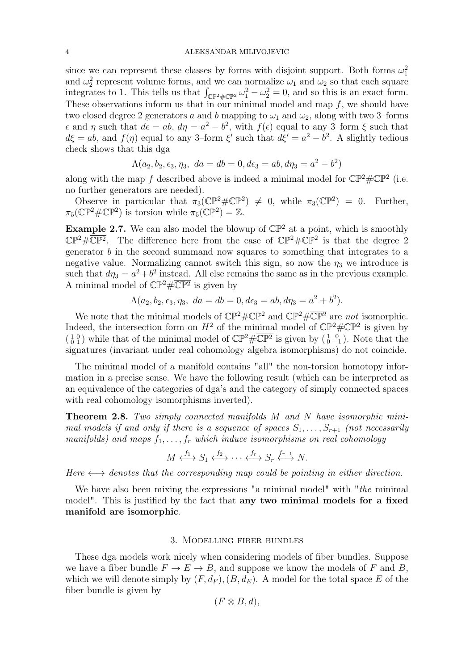#### 4 ALEKSANDAR MILIVOJEVIC

since we can represent these classes by forms with disjoint support. Both forms  $\omega_1^2$ and  $\omega_2^2$  represent volume forms, and we can normalize  $\omega_1$  and  $\omega_2$  so that each square integrates to 1. This tells us that  $\int_{\mathbb{CP}^2 \# \mathbb{CP}^2} \omega_1^2 - \omega_2^2 = 0$ , and so this is an exact form. These observations inform us that in our minimal model and map  $f$ , we should have two closed degree 2 generators a and b mapping to  $\omega_1$  and  $\omega_2$ , along with two 3–forms  $\epsilon$  and  $\eta$  such that  $d\epsilon = ab$ ,  $d\eta = a^2 - b^2$ , with  $f(\epsilon)$  equal to any 3-form  $\xi$  such that  $d\xi = ab$ , and  $f(\eta)$  equal to any 3-form  $\xi'$  such that  $d\xi' = a^2 - b^2$ . A slightly tedious check shows that this dga

$$
\Lambda(a_2, b_2, \epsilon_3, \eta_3, da = db = 0, d\epsilon_3 = ab, d\eta_3 = a^2 - b^2)
$$

along with the map f described above is indeed a minimal model for  $\mathbb{CP}^2 \# \mathbb{CP}^2$  (i.e. no further generators are needed).

Observe in particular that  $\pi_3(\mathbb{CP}^2 \# \mathbb{CP}^2) \neq 0$ , while  $\pi_3(\mathbb{CP}^2) = 0$ . Further,  $\pi_5(\mathbb{CP}^2 \#\mathbb{CP}^2)$  is torsion while  $\pi_5(\mathbb{CP}^2) = \mathbb{Z}$ .

**Example 2.7.** We can also model the blowup of  $\mathbb{CP}^2$  at a point, which is smoothly  $\mathbb{CP}^2 \# \overline{\mathbb{CP}^2}$ . The difference here from the case of  $\mathbb{CP}^2 \# \mathbb{CP}^2$  is that the degree 2 generator b in the second summand now squares to something that integrates to a negative value. Normalizing cannot switch this sign, so now the  $\eta_3$  we introduce is such that  $d\eta_3 = a^2 + b^2$  instead. All else remains the same as in the previous example. A minimal model of  $\mathbb{CP}^2 \# \overline{\mathbb{CP}^2}$  is given by

$$
\Lambda(a_2, b_2, \epsilon_3, \eta_3, da = db = 0, d\epsilon_3 = ab, d\eta_3 = a^2 + b^2).
$$

We note that the minimal models of  $\mathbb{CP}^2 \# \mathbb{CP}^2$  and  $\mathbb{CP}^2 \# \overline{\mathbb{CP}^2}$  are not isomorphic. Indeed, the intersection form on  $H^2$  of the minimal model of  $\mathbb{CP}^2 \# \mathbb{CP}^2$  is given by  $\binom{1}{0}$  while that of the minimal model of  $\mathbb{CP}^2\#\overline{\mathbb{CP}^2}$  is given by  $\binom{1}{0}$ , Note that the signatures (invariant under real cohomology algebra isomorphisms) do not coincide.

The minimal model of a manifold contains "all" the non-torsion homotopy information in a precise sense. We have the following result (which can be interpreted as an equivalence of the categories of dga's and the category of simply connected spaces with real cohomology isomorphisms inverted).

**Theorem 2.8.** Two simply connected manifolds M and N have isomorphic minimal models if and only if there is a sequence of spaces  $S_1, \ldots, S_{r+1}$  (not necessarily manifolds) and maps  $f_1, \ldots, f_r$  which induce isomorphisms on real cohomology

$$
M \xleftrightarrow{f_1} S_1 \xleftrightarrow{f_2} \cdots \xleftrightarrow{f_r} S_r \xleftrightarrow{f_{r+1}} N.
$$

Here  $\longleftrightarrow$  denotes that the corresponding map could be pointing in either direction.

We have also been mixing the expressions "a minimal model" with "*the* minimal model". This is justified by the fact that any two minimal models for a fixed manifold are isomorphic.

### 3. Modelling fiber bundles

These dga models work nicely when considering models of fiber bundles. Suppose we have a fiber bundle  $F \to E \to B$ , and suppose we know the models of F and B, which we will denote simply by  $(F, d_F), (B, d_F)$ . A model for the total space E of the fiber bundle is given by

$$
(F\otimes B,d),
$$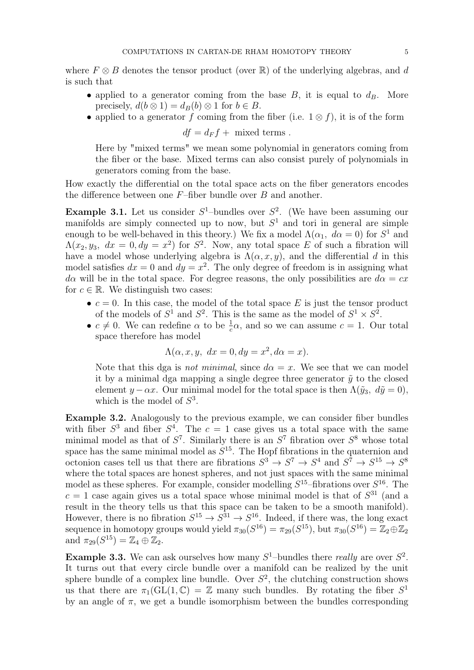where  $F \otimes B$  denotes the tensor product (over R) of the underlying algebras, and d is such that

- applied to a generator coming from the base  $B$ , it is equal to  $d_B$ . More precisely,  $d(b \otimes 1) = d_B(b) \otimes 1$  for  $b \in B$ .
- applied to a generator f coming from the fiber (i.e.  $1 \otimes f$ ), it is of the form

 $df = d_F f +$  mixed terms.

Here by "mixed terms" we mean some polynomial in generators coming from the fiber or the base. Mixed terms can also consist purely of polynomials in generators coming from the base.

How exactly the differential on the total space acts on the fiber generators encodes the difference between one  $F$ –fiber bundle over  $B$  and another.

**Example 3.1.** Let us consider  $S^1$ -bundles over  $S^2$ . (We have been assuming our manifolds are simply connected up to now, but  $S<sup>1</sup>$  and tori in general are simple enough to be well-behaved in this theory.) We fix a model  $\Lambda(\alpha_1, d\alpha = 0)$  for  $S^1$  and  $\Lambda(x_2, y_3, dx = 0, dy = x^2)$  for  $S^2$ . Now, any total space E of such a fibration will have a model whose underlying algebra is  $\Lambda(\alpha, x, y)$ , and the differential d in this model satisfies  $dx = 0$  and  $dy = x^2$ . The only degree of freedom is in assigning what  $d\alpha$  will be in the total space. For degree reasons, the only possibilities are  $d\alpha = cx$ for  $c \in \mathbb{R}$ . We distinguish two cases:

- $c = 0$ . In this case, the model of the total space E is just the tensor product of the models of  $S^1$  and  $S^2$ . This is the same as the model of  $S^1 \times S^2$ .
- $c \neq 0$ . We can redefine  $\alpha$  to be  $\frac{1}{c}\alpha$ , and so we can assume  $c = 1$ . Our total space therefore has model

$$
\Lambda(\alpha, x, y, dx = 0, dy = x^2, d\alpha = x).
$$

Note that this dga is not minimal, since  $d\alpha = x$ . We see that we can model it by a minimal dga mapping a single degree three generator  $\tilde{y}$  to the closed element  $y - \alpha x$ . Our minimal model for the total space is then  $\Lambda(\tilde{y}_3, d\tilde{y} = 0)$ , which is the model of  $S^3$ .

Example 3.2. Analogously to the previous example, we can consider fiber bundles with fiber  $S^3$  and fiber  $S^4$ . The  $c = 1$  case gives us a total space with the same minimal model as that of  $S^7$ . Similarly there is an  $S^7$  fibration over  $S^8$  whose total space has the same minimal model as  $S^{15}$ . The Hopf fibrations in the quaternion and octonion cases tell us that there are fibrations  $S^3 \to S^7 \to S^4$  and  $S^7 \to S^{15} \to S^8$ where the total spaces are honest spheres, and not just spaces with the same minimal model as these spheres. For example, consider modelling  $S^{15}$ -fibrations over  $S^{16}$ . The  $c = 1$  case again gives us a total space whose minimal model is that of  $S^{31}$  (and a result in the theory tells us that this space can be taken to be a smooth manifold). However, there is no fibration  $S^{15} \to S^{31} \to S^{16}$ . Indeed, if there was, the long exact sequence in homotopy groups would yield  $\pi_{30}(S^{16}) = \pi_{29}(S^{15})$ , but  $\pi_{30}(S^{16}) = \mathbb{Z}_2 \oplus \mathbb{Z}_2$ and  $\pi_{29}(S^{15}) = \mathbb{Z}_4 \oplus \mathbb{Z}_2$ .

**Example 3.3.** We can ask ourselves how many  $S^1$ -bundles there *really* are over  $S^2$ . It turns out that every circle bundle over a manifold can be realized by the unit sphere bundle of a complex line bundle. Over  $S^2$ , the clutching construction shows us that there are  $\pi_1(\text{GL}(1,\mathbb{C}) = \mathbb{Z}$  many such bundles. By rotating the fiber  $S^1$ by an angle of  $\pi$ , we get a bundle isomorphism between the bundles corresponding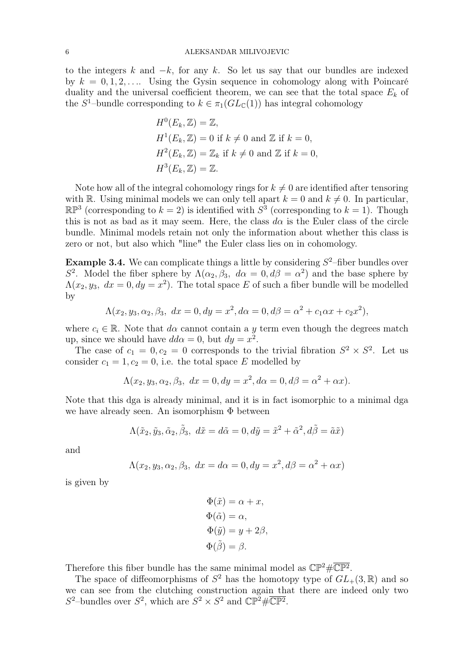to the integers k and  $-k$ , for any k. So let us say that our bundles are indexed by  $k = 0, 1, 2, \ldots$  Using the Gysin sequence in cohomology along with Poincaré duality and the universal coefficient theorem, we can see that the total space  $E_k$  of the  $S^1$ -bundle corresponding to  $k \in \pi_1(GL_{\mathbb{C}}(1))$  has integral cohomology

$$
H^{0}(E_{k}, \mathbb{Z}) = \mathbb{Z},
$$
  
\n
$$
H^{1}(E_{k}, \mathbb{Z}) = 0
$$
 if  $k \neq 0$  and  $\mathbb{Z}$  if  $k = 0$ ,  
\n
$$
H^{2}(E_{k}, \mathbb{Z}) = \mathbb{Z}_{k}
$$
 if  $k \neq 0$  and  $\mathbb{Z}$  if  $k = 0$ ,  
\n
$$
H^{3}(E_{k}, \mathbb{Z}) = \mathbb{Z}.
$$

Note how all of the integral cohomology rings for  $k \neq 0$  are identified after tensoring with R. Using minimal models we can only tell apart  $k = 0$  and  $k \neq 0$ . In particular,  $\mathbb{RP}^3$  (corresponding to  $k=2$ ) is identified with  $S^3$  (corresponding to  $k=1$ ). Though this is not as bad as it may seem. Here, the class  $d\alpha$  is the Euler class of the circle bundle. Minimal models retain not only the information about whether this class is zero or not, but also which "line" the Euler class lies on in cohomology.

**Example 3.4.** We can complicate things a little by considering  $S^2$ -fiber bundles over S<sup>2</sup>. Model the fiber sphere by  $\Lambda(\alpha_2, \beta_3, d\alpha = 0, d\beta = \alpha^2)$  and the base sphere by  $\Lambda(x_2, y_3, dx = 0, dy = x^2)$ . The total space E of such a fiber bundle will be modelled by

$$
\Lambda(x_2, y_3, \alpha_2, \beta_3, dx = 0, dy = x^2, d\alpha = 0, d\beta = \alpha^2 + c_1\alpha x + c_2x^2),
$$

where  $c_i \in \mathbb{R}$ . Note that  $d\alpha$  cannot contain a y term even though the degrees match up, since we should have  $dd\alpha = 0$ , but  $dy = x^2$ .

The case of  $c_1 = 0, c_2 = 0$  corresponds to the trivial fibration  $S^2 \times S^2$ . Let us consider  $c_1 = 1, c_2 = 0$ , i.e. the total space E modelled by

$$
\Lambda(x_2, y_3, \alpha_2, \beta_3, dx = 0, dy = x^2, d\alpha = 0, d\beta = \alpha^2 + \alpha x).
$$

Note that this dga is already minimal, and it is in fact isomorphic to a minimal dga we have already seen. An isomorphism Φ between

$$
\Lambda(\tilde{x}_2,\tilde{y}_3,\tilde{\alpha}_2,\tilde{\beta}_3,\ d\tilde{x}=d\tilde{\alpha}=0, d\tilde{y}=\tilde{x}^2+\tilde{\alpha}^2, d\tilde{\beta}=\tilde{a}\tilde{x})
$$

and

$$
\Lambda(x_2, y_3, \alpha_2, \beta_3, dx = d\alpha = 0, dy = x^2, d\beta = \alpha^2 + \alpha x)
$$

is given by

$$
\Phi(\tilde{x}) = \alpha + x,
$$
  
\n
$$
\Phi(\tilde{\alpha}) = \alpha,
$$
  
\n
$$
\Phi(\tilde{y}) = y + 2\beta,
$$
  
\n
$$
\Phi(\tilde{\beta}) = \beta.
$$

Therefore this fiber bundle has the same minimal model as  $\mathbb{CP}^2 \# \overline{\mathbb{CP}^2}$ .

The space of diffeomorphisms of  $S^2$  has the homotopy type of  $GL_+(3,\mathbb{R})$  and so we can see from the clutching construction again that there are indeed only two  $S^2$ -bundles over  $S^2$ , which are  $S^2 \times S^2$  and  $\mathbb{CP}^2 \# \overline{\mathbb{CP}^2}$ .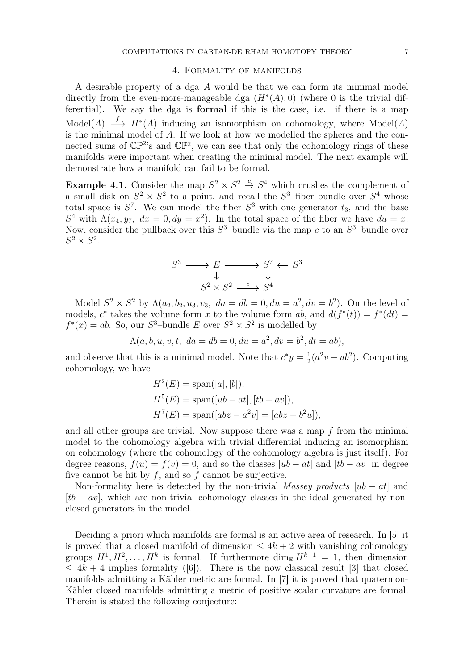#### 4. Formality of manifolds

A desirable property of a dga A would be that we can form its minimal model directly from the even-more-manageable dga  $(H^*(A), 0)$  (where 0 is the trivial differential). We say the dga is formal if this is the case, i.e. if there is a map Model(A)  $\stackrel{f}{\longrightarrow} H^*(A)$  inducing an isomorphism on cohomology, where Model(A) is the minimal model of  $A$ . If we look at how we modelled the spheres and the connected sums of  $\mathbb{CP}^2$ 's and  $\overline{\mathbb{CP}^2}$ , we can see that only the cohomology rings of these manifolds were important when creating the minimal model. The next example will demonstrate how a manifold can fail to be formal.

**Example 4.1.** Consider the map  $S^2 \times S^2 \stackrel{c}{\to} S^4$  which crushes the complement of a small disk on  $S^2 \times S^2$  to a point, and recall the  $S^3$ -fiber bundle over  $S^4$  whose total space is  $S^7$ . We can model the fiber  $S^3$  with one generator  $t_3$ , and the base  $S^4$  with  $\Lambda(x_4, y_7, dx = 0, dy = x^2)$ . In the total space of the fiber we have  $du = x$ . Now, consider the pullback over this  $S^3$ -bundle via the map c to an  $S^3$ -bundle over  $S^2 \times S^2$ .

$$
S^3 \longrightarrow E \longrightarrow S^7 \leftarrow S^3
$$
  

$$
\downarrow \qquad \qquad \downarrow
$$
  

$$
S^2 \times S^2 \xrightarrow{c} S^4
$$

Model  $S^2 \times S^2$  by  $\Lambda(a_2, b_2, u_3, v_3, da = db = 0, du = a^2, dv = b^2$ . On the level of models,  $c^*$  takes the volume form x to the volume form ab, and  $d(f^*(t)) = f^*(dt) =$  $f^*(x) = ab$ . So, our  $S^3$ -bundle E over  $S^2 \times S^2$  is modelled by

$$
\Lambda(a, b, u, v, t, da = db = 0, du = a^2, dv = b^2, dt = ab),
$$

and observe that this is a minimal model. Note that  $c^*y = \frac{1}{2}$  $\frac{1}{2}(a^2v+ub^2)$ . Computing cohomology, we have

$$
H^{2}(E) = \text{span}([a], [b]),
$$
  
\n
$$
H^{5}(E) = \text{span}([ub - at], [tb - av]),
$$
  
\n
$$
H^{7}(E) = \text{span}([abz - a^{2}v] = [abz - b^{2}u]),
$$

and all other groups are trivial. Now suppose there was a map  $f$  from the minimal model to the cohomology algebra with trivial differential inducing an isomorphism on cohomology (where the cohomology of the cohomology algebra is just itself). For degree reasons,  $f(u) = f(v) = 0$ , and so the classes  $[ub - at]$  and  $[tb - av]$  in degree five cannot be hit by  $f$ , and so  $f$  cannot be surjective.

Non-formality here is detected by the non-trivial Massey products  $[ub - at]$  and  $[tb - av]$ , which are non-trivial cohomology classes in the ideal generated by nonclosed generators in the model.

Deciding a priori which manifolds are formal is an active area of research. In [5] it is proved that a closed manifold of dimension  $\leq 4k + 2$  with vanishing cohomology groups  $H^1, H^2, \ldots, H^k$  is formal. If furthermore  $\dim_{\mathbb{R}} H^{k+1} = 1$ , then dimension  $\leq 4k + 4$  implies formality ([6]). There is the now classical result [3] that closed manifolds admitting a Kähler metric are formal. In [7] it is proved that quaternion-Kähler closed manifolds admitting a metric of positive scalar curvature are formal. Therein is stated the following conjecture: